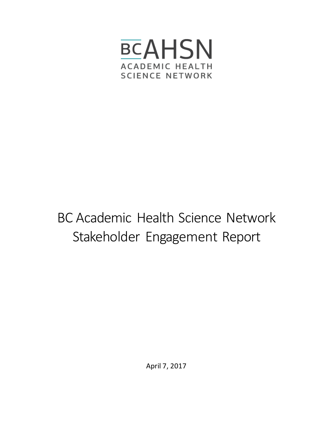

# BC Academic Health Science Network Stakeholder Engagement Report

April 7, 2017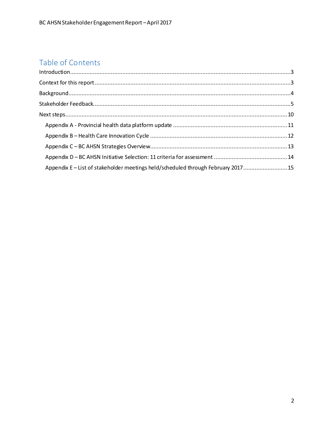# Table of Contents

| Appendix E-List of stakeholder meetings held/scheduled through February 2017 15 |  |
|---------------------------------------------------------------------------------|--|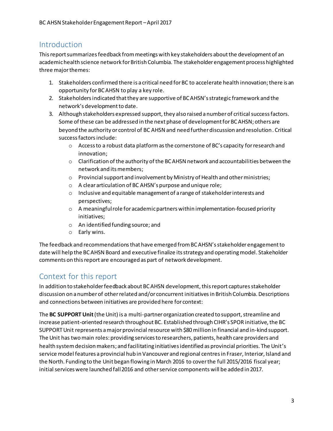# <span id="page-2-0"></span>Introduction

This report summarizes feedback from meetings with key stakeholders about the development of an academic health science network for British Columbia. The stakeholder engagement process highlighted three major themes:

- 1. Stakeholders confirmed there is a critical need for BC to accelerate health innovation;there is an opportunity for BC AHSN to play a key role.
- 2. Stakeholders indicated that they are supportive of BC AHSN's strategic framework and the network's development to date.
- 3. Although stakeholders expressed support, they also raised a number of critical success factors. Some of these can be addressed in the next phase of development for BC AHSN; others are beyond the authority or control of BC AHSN and need further discussion and resolution. Critical success factors include:
	- $\circ$  Access to a robust data platform as the cornerstone of BC's capacity for research and innovation;
	- $\circ$  Clarification of the authority of the BCAHSN network and accountabilities between the network and its members;
	- $\circ$  Provincial support and involvement by Ministry of Health and other ministries;
	- o A clear articulation of BC AHSN's purpose and unique role;
	- o Inclusive and equitable management of a range of stakeholder interests and perspectives;
	- $\circ$  A meaningful role for academic partners within implementation-focused priority initiatives;
	- o An identified funding source; and
	- o Early wins.

The feedback and recommendations that have emerged from BC AHSN's stakeholder engagement to date will help the BC AHSN Board and executive finalize its strategy and operating model. Stakeholder comments on this report are encouraged as part of network development.

# <span id="page-2-1"></span>Context for this report

In addition to stakeholder feedback about BC AHSN development, this report capturesstakeholder discussion on a number of other related and/or concurrent initiativesin British Columbia. Descriptions and connections between initiatives are provided here for context:

The **BC SUPPORT Unit**(the Unit) is a multi-partner organization created to support, streamline and increase patient-oriented research throughout BC. Established through CIHR's SPOR initiative, the BC SUPPORT Unit represents a major provincial resource with \$80 million in financial and in-kind support. The Unit has two main roles: providing services to researchers, patients, health care providers and health system decision makers; and facilitating initiatives identified as provincial priorities. The Unit's service model features a provincial hub in Vancouver and regional centres in Fraser, Interior, Island and the North. Funding to the Unit began flowing in March 2016 to cover the full 2015/2016 fiscal year; initial services were launched fall 2016 and other service components will be added in 2017.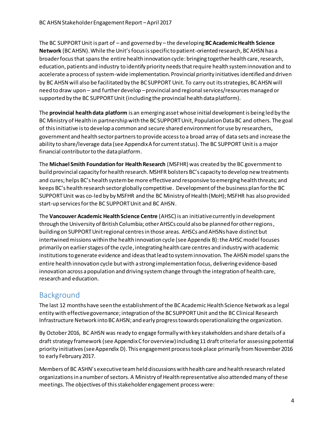The BC SUPPORT Unit is part of – and governed by – the developing **BC Academic Health Science Network** (BC AHSN). While the Unit's focus is specific to patient-oriented research, BC AHSN has a broader focus that spansthe entire health innovation cycle: bringing together health care, research, education, patients and industry to identify priority needs that require health system innovation and to accelerate a process of system-wide implementation. Provincial priority initiatives identified and driven by BC AHSN will also be facilitated by the BC SUPPORT Unit. To carry out its strategies, BC AHSN will need to draw upon – and further develop –provincial and regional services/resources managed or supported by the BC SUPPORT Unit (including the provincial health data platform).

The **provincial health data platform** is an emerging asset whose initial development is being led by the BC Ministry of Health in partnership with the BC SUPPORT Unit, Population Data BC and others. The goal of this initiative is to develop a common and secure shared environment for use by researchers, government and health sector partners to provide access to a broad array of data sets and increase the ability to share/leverage data (see Appendix A for currentstatus). The BC SUPPORT Unit is a major financial contributor to the data platform.

The **Michael Smith Foundation for Health Research** (MSFHR) was created by the BC government to build provincial capacity for health research. MSHFR bolsters BC's capacity to develop new treatments and cures; helps BC's health system be more effective and responsive to emerging health threats; and keeps BC's health research sector globally competitive. Development of the business plan for the BC SUPPORT Unit was co-led by by MSFHR and the BC Ministry of Health (MoH); MSFHR has also provided start-up services for the BC SUPPORT Unit and BC AHSN.

The **Vancouver Academic Health Science Centre** (AHSC) is an initiative currently in development through the University of British Columbia; other AHSCs could also be planned for other regions, building on SUPPORT Unit regional centres in those areas. AHSCs and AHSNs have distinct but intertwined missions within the health innovation cycle (see Appendix B): the AHSC model focuses primarily on earlier stages of the cycle, integrating health care centres and industry with academic institutionsto generate evidence and ideas that lead to system innovation. The AHSN model spans the entire health innovation cycle but with a strong implementation focus, delivering evidence-based innovation across a population and driving system change through the integration of health care, research and education.

# <span id="page-3-0"></span>Background

The last 12 months have seen the establishment of the BC Academic Health Science Network as a legal entity with effective governance; integration of the BC SUPPORT Unit and the BC Clinical Research Infrastructure Network into BC AHSN; and early progress towards operationalizing the organization.

By October 2016, BC AHSN was ready to engage formally with key stakeholders and share details of a draft strategy framework (see Appendix C for overview) including 11 draft criteria for assessing potential priority initiatives (see Appendix D). This engagement process took place primarily from November 2016 to early February 2017.

Members of BC ASHN's executive team held discussions with health care and health research related organizations in a number of sectors. A Ministry of Health representative also attended many of these meetings. The objectives of this stakeholder engagement process were: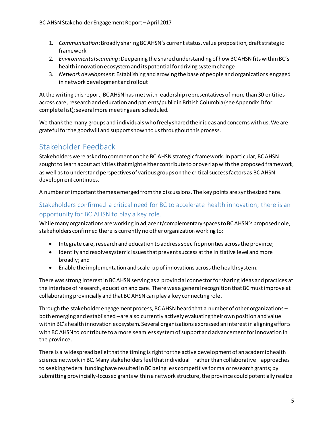- 1. *Communication*: Broadly sharing BC AHSN's current status, value proposition, draft strategic framework
- 2. *Environmental scanning*: Deepening the shared understanding of how BC AHSN fits within BC's health innovation ecosystem and its potential for driving system change
- 3. *Network development*: Establishing and growing the base of people and organizations engaged in network development and rollout

At the writing this report, BC AHSN has metwith leadership representatives of more than 30 entities across care, research and education and patients/public in British Columbia (see Appendix Dfor complete list); several more meetings are scheduled.

We thank the many groups and individuals who freely shared their ideas and concerns with us. We are grateful for the goodwill and support shown to us throughout this process.

# <span id="page-4-0"></span>Stakeholder Feedback

Stakeholders were asked to comment on the BC AHSN strategic framework. In particular, BC AHSN sought to learn about activities that might either contribute to or overlap with the proposed framework, as well as to understand perspectives of various groups on the critical success factors as BC AHSN development continues.

A number of important themes emerged from the discussions. The key points are synthesized here.

## Stakeholders confirmed a critical need for BC to accelerate health innovation; there is an opportunity for BC AHSN to play a key role.

While many organizations are working in adjacent/complementary spaces to BC AHSN's proposed role, stakeholders confirmed there is currently no other organization working to:

- Integrate care, research and education to address specific priorities across the province;
- Identify and resolve systemic issues that prevent success at the initiative level and more broadly; and
- Enable the implementation and scale-up of innovations across the health system.

There was strong interest in BC AHSN serving as a provincial connector for sharing ideas and practices at the interface of research, education and care. There was a general recognition that BC must improve at collaborating provincially and that BC AHSN can play a key connecting role.

Through the stakeholder engagement process, BC AHSN heard that a number of other organizations – both emerging and established – are also currently actively evaluating their own position and value within BC's health innovation ecosystem. Several organizations expressed an interest in aligning efforts with BC AHSN to contribute to a more seamless system of support and advancement for innovation in the province.

There is a widespread belief that the timing is right for the active development of an academic health science network in BC. Many stakeholders feel that individual –rather than collaborative –approaches to seeking federal funding have resulted in BC being less competitive for major research grants; by submitting provincially-focused grants within a network structure, the province could potentially realize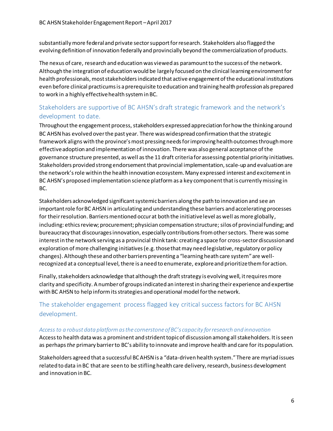substantially more federal and private sector support for research. Stakeholders also flagged the evolving definition of innovation federally and provincially beyond the commercialization of products.

The nexus of care, research and education was viewed as paramount to the success of the network. Although the integration of education would be largely focused on the clinical learning environment for health professionals, most stakeholders indicated that active engagement of the educational institutions even before clinical practicums is a prerequisite to education and training health professionals prepared to work in a highly effective health system in BC.

## Stakeholders are supportive of BC AHSN's draft strategic framework and the network's development to date.

Throughout the engagement process, stakeholders expressed appreciation for how the thinking around BC AHSN has evolved over the past year. There was widespread confirmation that the strategic framework aligns with the province's most pressing needs for improving health outcomes through more effective adoption and implementation of innovation. There was also general acceptance of the governance structure presented, as well as the 11 draft criteria for assessing potential priority initiatives. Stakeholders provided strong endorsement that provincial implementation, scale-up and evaluation are the network's role within the health innovation ecosystem. Many expressed interest and excitementin BC AHSN's proposed implementation science platform as a key component that is currently missing in BC.

Stakeholders acknowledged significant systemic barriers along the path to innovation and see an important role for BC AHSN in articulating and understanding these barriers and accelerating processes for their resolution. Barriers mentioned occur at both the initiative level as well as more globally, including: ethics review; procurement; physician compensation structure; silos of provincial funding; and bureaucracy that discourages innovation, especially contributions from other sectors. There was some interest in the network serving as a provincial think tank: creating a space for cross-sector discussionand exploration of more challenging initiatives(e.g. those that may need legislative, regulatory or policy changes). Although these and other barriers preventing a "learning heath care system"are wellrecognized at a conceptual level, there is a need to enumerate, explore and prioritize them for action.

Finally, stakeholders acknowledge that although the draft strategy is evolving well, it requires more clarity and specificity. A number of groups indicated an interest in sharing their experience and expertise with BC AHSN to help inform its strategies and operational model for the network.

## The stakeholder engagement process flagged key critical success factors for BC AHSN development.

#### *Access to a robust data platform as the cornerstone of BC's capacity for research and innovation*

Access to health data was a prominent and strident topic of discussion among all stakeholders. It is seen as perhaps *the* primary barrier to BC's ability to innovate and improve health and care for its population.

Stakeholders agreed that a successful BC AHSN is a "data-driven health system." There are myriad issues related to data in BC that are seen to be stifling health care delivery, research, business development and innovation in BC.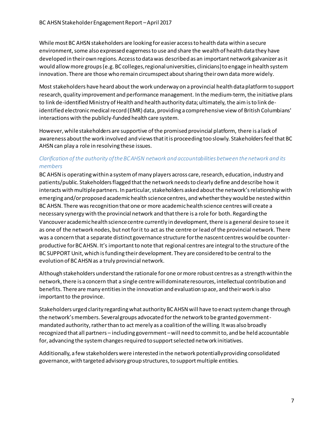While most BC AHSN stakeholders are looking for easier access to health data within a secure environment, some also expressed eagerness to use and share the wealth of health data they have developed in their own regions. Access to data was described as an important network galvanizer as it would allow more groups (e.g. BC colleges, regional universities, clinicians) to engage in health system innovation. There are those who remain circumspect about sharing their own data more widely.

Most stakeholders have heard about the work underway on a provincial health dataplatformto support research, quality improvement and performance management. In the medium-term, the initiative plans to link de-identified Ministry of Health and health authority data; ultimately, the aim is to link deidentified electronic medical record (EMR) data, providing a comprehensive view of British Columbians' interactions with the publicly-funded health care system.

However, while stakeholders are supportive of the promised provincial platform, there is a lack of awareness about the work involved and views that it is proceeding too slowly. Stakeholders feel that BC AHSN can play a role in resolving these issues.

#### *Clarification of the authority of the BC AHSN network and accountabilities between the network and its members*

BC AHSN is operating within a system of many players across care, research, education, industry and patients/public. Stakeholders flagged that the network needs to clearly define and describe how it interacts with multiple partners. In particular, stakeholders asked about the network's relationship with emerging and/or proposed academic health science centres, and whether they would be nested within BC AHSN. There was recognition that one or more academic health science centres will create a necessary synergy with the provincial network and that there is a role for both. Regarding the Vancouver academic health science centre currently in development, there is a general desire to see it as one of the network nodes, but not for it to act as the centre or lead of the provincial network. There was a concern that a separate distinct governance structure for the nascent centres would be counterproductive for BC AHSN. It's important to note that regional centres are integral to the structure of the BC SUPPORT Unit, which is funding their development. They are considered to be central to the evolution of BC AHSN as a truly provincial network.

Although stakeholders understand the rationale for one or more robust centres as a strength within the network, there is a concern that a single centre will dominate resources, intellectual contribution and benefits. There are many entities in the innovation and evaluation space, and their work is also important to the province.

Stakeholders urged clarity regarding what authority BC AHSN will have to enact system change through the network's members. Several groups advocated for the network to be granted governmentmandated authority, rather than to act merely as a coalition of the willing. It was also broadly recognized that all partners – including government –will need to commit to, and be held accountable for, advancing the system changes required to support selected network initiatives.

Additionally, a few stakeholders were interested in the network potentially providing consolidated governance, with targeted advisory group structures, to support multiple entities.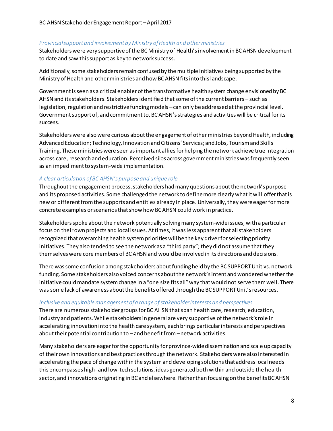#### *Provincial support and involvement by Ministry of Health and other ministries*

Stakeholders were very supportive of the BC Ministry of Health's involvement in BC AHSN development to date and saw this support as key to network success.

Additionally, some stakeholders remain confused by the multiple initiatives being supported by the Ministry of Health and other ministries and how BC AHSN fits into this landscape.

Government is seen as a critical enabler of the transformative health system change envisioned by BC AHSN and its stakeholders. Stakeholders identified that some of the current barriers – such as legislation, regulation and restrictive funding models –can only be addressed at the provincial level. Government support of, and commitment to, BC AHSN's strategies and activities will be critical for its success.

Stakeholders were also were curious about the engagement of other ministries beyond Health, including Advanced Education; Technology, Innovation and Citizens' Services; and Jobs, Tourism and Skills Training. These ministries were seen as important allies for helping the network achieve true integration across care, research and education. Perceived silos across government ministries was frequently seen as an impediment to system-wide implementation.

#### *A clear articulation of BC AHSN's purpose and unique role*

Throughout the engagement process, stakeholders had many questions about the network's purpose and its proposed activities. Some challenged the network to define more clearly what it will offer thatis new or different from the supports and entities already in place. Universally, they were eager formore concrete examples or scenarios that show how BC AHSN could work in practice.

Stakeholders spoke about the network potentially solving many system-wide issues, with a particular focus on their own projects and local issues. At times, it was less apparent that all stakeholders recognized that overarching health system priorities will be the key driver for selecting priority initiatives. They also tended to see the network as a "third party"; they did not assume that they themselves were core members of BC AHSN and would be involved in its directions and decisions.

There was some confusion among stakeholders about funding held by the BC SUPPORT Unit vs. network funding. Some stakeholders also voiced concerns about the network's intent and wondered whether the initiativecould mandate system change in a "one size fits all" way that would not serve them well. There was some lack of awareness about the benefits offered through the BC SUPPORT Unit's resources.

#### *Inclusive and equitable management of a range of stakeholder interests and perspectives*

There are numerous stakeholder groups for BC AHSN that span health care, research, education, industry and patients. While stakeholders in general are very supportive of the network's role in accelerating innovation into the health care system, each brings particular interests and perspectives about their potential contribution to – and benefit from –network activities.

Many stakeholders are eager for the opportunity for province-wide dissemination and scale up capacity of their own innovations and best practices through the network. Stakeholders were also interested in accelerating the pace of change within the system and developing solutions that address local needs – this encompasses high- and low-tech solutions, ideas generated both within and outside the health sector, and innovations originating in BC and elsewhere. Rather than focusing on the benefits BC AHSN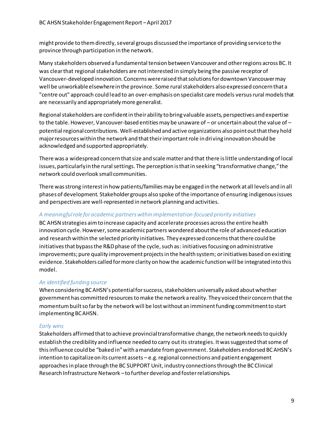might provide to them directly, several groups discussed the importance of providing service to the province through participation in the network.

Many stakeholders observed a fundamental tension between Vancouver and other regions across BC. It was clear that regional stakeholders are not interested in simply being the passive receptor of Vancouver-developed innovation. Concerns were raised that solutions for downtown Vancouver may well be unworkable elsewhere in the province. Some rural stakeholders also expressed concern that a "centre out" approach could lead to an over-emphasis on specialist care models versusrural models that are necessarily and appropriately more generalist.

Regional stakeholders are confident in their ability to bring valuable assets, perspectives and expertise to the table. However, Vancouver-based entities may be unaware of – or uncertain about the value of – potential regional contributions. Well-established and active organizations also point out that they hold major resources within the network and that their important role in dri ving innovation should be acknowledged and supported appropriately.

There was a widespread concern that size and scale matter and that there is little understanding of local issues, particularly in the rural settings. The perception is that in seeking "transformative change," the network could overlook small communities.

There was strong interest in how patients/families may be engaged in the network at all levels and in all phases of development. Stakeholder groups also spoke of the importance of ensuring indigenous issues and perspectives are well-represented in network planning and activities.

#### *A meaningful role for academic partners within implementation-focused priority initiatives*

BC AHSN strategies aim to increase capacity and accelerate processes across the entire health innovation cycle. However, some academic partners wondered about the role of advanced education and research within the selected priority initiatives. They expressed concerns that there could be initiatives that bypass the R&D phase of the cycle, such as: initiatives focusing on administrative improvements; pure quality improvement projects in the health system; or initiatives based on existing evidence. Stakeholders called for more clarity on how the academic function will be integrated into this model.

#### *An identified funding source*

When considering BC AHSN's potential for success, stakeholders universally asked about whether government has committed resources to make the network a reality. They voiced their concern that the momentum built so far by the network will be lost without an imminent funding commitment to start implementing BC AHSN.

#### *Early wins*

Stakeholders affirmed that to achieve provincial transformative change, the network needs to quickly establish the credibility and influence needed to carry out its strategies. It was suggested that some of this influence could be "baked in" with a mandate from government. Stakeholders endorsed BC AHSN's intention to capitalize on its current assets – e.g. regional connections and patient engagement approaches in place through the BC SUPPORT Unit, industry connections through the BC Clinical Research Infrastructure Network –to further develop and foster relationships.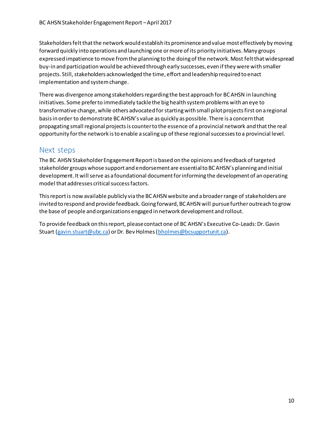Stakeholders felt that the network would establish its prominence and value most effectively by moving forward quickly into operations and launching one or more of its priority initiatives. Many groups expressed impatience to move from the planning to the doing of the network. Most felt that widespread buy-in and participation would be achieved through early successes, even if they were with smaller projects. Still, stakeholders acknowledged the time, effort and leadership required to enact implementation and system change.

There was divergence among stakeholders regarding the best approach for BC AHSN in launching initiatives. Some prefer to immediately tackle the big health system problems with an eye to transformative change, while others advocated for starting with small pilot projects first on a regional basis in order to demonstrate BC AHSN's value as quickly as possible. There is a concern that propagating small regional projects is counter to the essence of a provincial network and thatthe real opportunity for the network is to enable a scaling up of these regional successes to a provincial level.

# <span id="page-9-0"></span>Next steps

The BC AHSN Stakeholder Engagement Report is based on the opinions and feedback of targeted stakeholder groups whose support and endorsement are essential to BC AHSN's planning and initial development. It will serve as a foundational document for informing the development of an operating model that addresses critical success factors.

This report is now available publicly via the BC AHSN website and a broader range of stakeholders are invited to respond and provide feedback. Going forward, BC AHSN will pursuefurther outreach to grow the base of people and organizations engaged in network development and rollout.

To provide feedback on this report, please contact one of BC AHSN's Executive Co-Leads: Dr. Gavin Stuart [\(gavin.stuart@ubc.ca](mailto:gavin.stuart@ubc.ca)) or Dr. Bev Holmes [\(bholmes@bcsupportunit.ca](mailto:bholmes@bcsupportunit.ca)).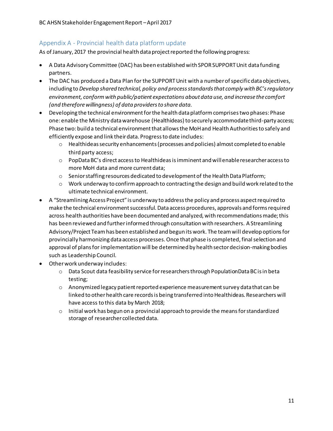## <span id="page-10-0"></span>Appendix A - Provincial health data platform update

As of January, 2017 the provincial health data project reported the following progress:

- A Data Advisory Committee (DAC) has been established with SPOR SUPPORT Unit data funding partners.
- The DAC has produced a Data Plan for the SUPPORT Unit with a number of specific data objectives, including to *Develop shared technical, policy and process standards that comply with BC's regulatory environment, conform with public/patient expectations about data use, and increase the comfort (and therefore willingness) of data providers to share data.*
- Developing the technical environment for the health data platform comprises two phases: Phase one: enable the Ministry data warehouse (Healthideas) to securely accommodate third-party access; Phase two: build a technical environment that allows the MoH and Health Authorities to safely and efficiently expose and link their data. Progress to date includes:
	- $\circ$  Healthideas security enhancements (processes and policies) almost completed to enable third party access;
	- $\circ$  PopData BC's direct access to Healthideas is imminent and will enable researcher access to more MoH data and more current data;
	- $\circ$  Senior staffing resources dedicated to development of the Health Data Platform;
	- $\circ$  Work underway to confirm approach to contracting the design and build work related to the ultimate technical environment.
- A "Streamlining Access Project" is underway to address the policy and process aspect required to make the technical environment successful. Data access procedures, approvals and forms required across health authorities have been documented and analyzed, with recommendations made; this has been reviewed and further informed through consultation with researchers. A Streamlining Advisory/Project Team has been established and begun its work. The team will develop options for provincially harmonizing data access processes. Once that phase is completed, final selection and approval of plans for implementation will be determined by health sector decision-making bodies such as Leadership Council.
- Other work underway includes:
	- o Data Scout data feasibility service for researchers through PopulationData BC is in beta testing;
	- o Anonymized legacy patient reported experience measurement survey data that can be linked to other health care records is being transferred into Healthideas. Researchers will have access to this data by March 2018;
	- o Initial work has begun on a provincial approach to provide the means for standardized storage of researcher collected data.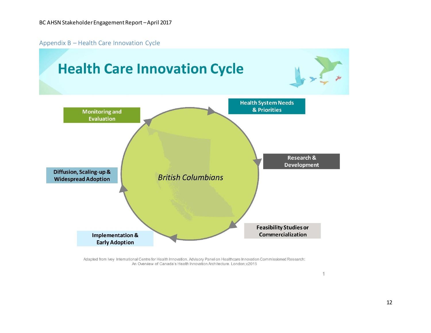Appendix B – Health Care Innovation Cycle

<span id="page-11-0"></span>

Adapted from Ivey International Centre for Health Innovation. Advisory Panel on Healthcare Innovation Commissioned Research: An Overview of Canada's Health Innovation Architecture. London; c2015

 $\mathbf{1}$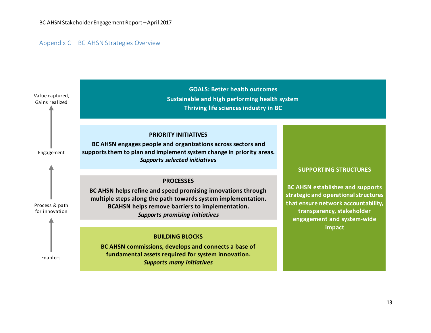#### Appendix C – BC AHSN Strategies Overview

<span id="page-12-0"></span>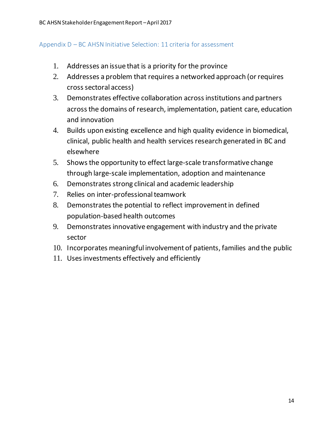## <span id="page-13-0"></span>Appendix D – BC AHSN Initiative Selection: 11 criteria for assessment

- 1. Addresses an issue that is a priority for the province
- 2. Addresses a problem that requires a networked approach (or requires cross sectoral access)
- 3. Demonstrates effective collaboration across institutions and partners across the domains of research, implementation, patient care, education and innovation
- 4. Builds upon existing excellence and high quality evidence in biomedical, clinical, public health and health services research generated in BC and elsewhere
- 5. Shows the opportunity to effect large-scale transformative change through large-scale implementation, adoption and maintenance
- 6. Demonstrates strong clinical and academic leadership
- 7. Relies on inter-professional teamwork
- 8. Demonstrates the potential to reflect improvement in defined population-based health outcomes
- 9. Demonstrates innovative engagement with industry and the private sector
- 10. Incorporates meaningful involvement of patients, families and the public
- 11. Uses investments effectively and efficiently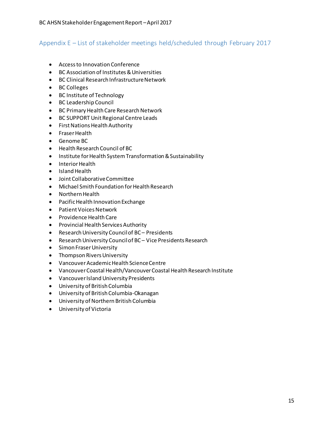### <span id="page-14-0"></span>Appendix E – List of stakeholder meetings held/scheduled through February 2017

- Access to Innovation Conference
- BC Association of Institutes & Universities
- BC Clinical Research Infrastructure Network
- BC Colleges
- BC Institute of Technology
- BC Leadership Council
- BC Primary Health Care Research Network
- BC SUPPORT Unit Regional Centre Leads
- **•** First Nations Health Authority
- **•** Fraser Health
- Genome BC
- Health Research Council of BC
- **•** Institute for Health System Transformation & Sustainability
- Interior Health
- Island Health
- Joint Collaborative Committee
- Michael Smith Foundation for Health Research
- Northern Health
- Pacific Health Innovation Exchange
- Patient Voices Network
- Providence Health Care
- **•** Provincial Health Services Authority
- Research University Council of BC Presidents
- Research University Council of BC Vice Presidents Research
- **•** Simon Fraser University
- Thompson Rivers University
- VancouverAcademic Health Science Centre
- Vancouver Coastal Health/Vancouver Coastal Health Research Institute
- Vancouver Island University Presidents
- University of British Columbia
- University of British Columbia-Okanagan
- University of Northern British Columbia
- University of Victoria